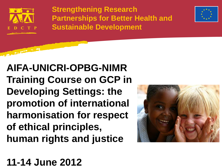

**CONTRACTOR** 

**Strengthening Research Partnerships for Better Health and Sustainable Development** 



**AIFA-UNICRI-OPBG-NIMR Training Course on GCP in Developing Settings: the promotion of international harmonisation for respect of ethical principles, human rights and justice**



**11-14 June 2012**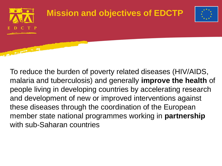

To reduce the burden of poverty related diseases (HIV/AIDS, malaria and tuberculosis) and generally **improve the health** of people living in developing countries by accelerating research and development of new or improved interventions against these diseases through the coordination of the European member state national programmes working in **partnership** with sub-Saharan countries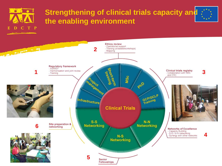

**Contract of the Contract of Contract of the Contract of Contract of the Contract of Contract of the Contract of Contract of The Contract of The Contract of The Contract of The Contract of The Contract of The Contract of T** 

#### **Strengthening of clinical trials capacity and the enabling environment**

**Ethics review** 

- Mapping



**4**

Regulatory framework<br>- AVAREF **1** - Harmonisation and joint review - Training rraining<br>Iorrining عدد<br>الأقال Infrastructure **Clinical Trials**  $S-S$ Site preparation & **Networking 6**networking - Capacity Building<br>- S-S / N-N networking<br>- Synergy with other networks  $N-S$ **Networking 5** Senior **Fellowships** 

**2**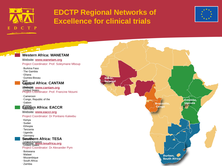

### **EDCTP Regional Networks of Excellence for clinical trials**



Entebbe,

Uganda

 $\overrightarrow{Brazzville}$ 

Durban, **South Africa** 

Congo

**Contract Contract Contract Western Africa: WANETAM** Website: **www.wanetam.org** Project Coordinator: Prof. Soleymane Mboup • Burkina Faso • The Gambia • Ghana • Guinea-Bissau Dakar, •Mali Senegal **Central Africa: CANTAM** • Senegal Website: **www.cantam.org** • United States Project Coordinator: Prof. Francine Ntoumi • Cameroon • Congo, Republic of the • Gabon **Erance**<br>**Eastern Africa: EACCR** • GermanyWebsite: **www.eaccr.org** Project Coordinator: Dr Pontiano Kaleebu • Kenya • Sudan • Ethiopia • Tanzania • Uganda • Germany **Southern Africa: TESA** Website: **www.tesafrica.org** • United Kingdom • United States Project Coordinator: Dr Alexander Pym • Botswana • Malawi • Mozambique • South Africa • Zambia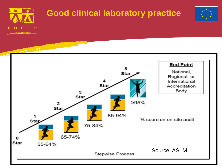

65-74%

55-64%

**Star** 



% score on on-site audit

**End Point** 

National,

Regional, or International

Accreditation Body

**Stepwise Process** 

Source: ASLM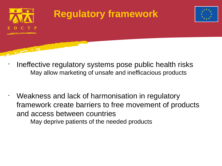

•

**CONTRACTOR** 

# **Regulatory framework**



- Ineffective regulatory systems pose public health risks May allow marketing of unsafe and inefficacious products
- Weakness and lack of harmonisation in regulatory framework create barriers to free movement of products and access between countries

May deprive patients of the needed products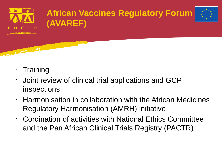

**Contract of the Contract of the Contract of the Contract of the Contract of the Contract of the Contract of the Contract of the Contract of the Contract of The Contract of The Contract of The Contract of The Contract of T** 

## **African Vaccines Regulatory Forum (AVAREF)**



- **Training**
- Joint review of clinical trial applications and GCP inspections
- Harmonisation in collaboration with the African Medicines Regulatory Harmonisation (AMRH) initiative
- Cordination of activities with National Ethics Committee and the Pan African Clinical Trials Registry (PACTR)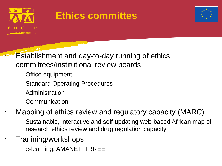

# **Ethics committes**



**Establishment and day-to-day running of ethics** committees/institutional review boards

- Office equipment
- **Standard Operating Procedures**
- Administration
- Communication

• Mapping of ethics review and regulatory capacity (MARC)

• Sustainable, interactive and self-updating web-based African map of research ethics review and drug regulation capacity

• Tranining/workshops

• e-learning: AMANET, TRREE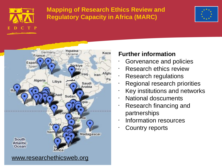

#### **Mapping of Research Ethics Review and Regulatory Capacity in Africa (MARC)**





#### **Further information**

- Gorvenance and policies
- Research ethics review
- Research regulations
- Regional research priorities
- Key institutions and networks
- National doscuments
- Research financing and partnerships
- Information resources
- Country reports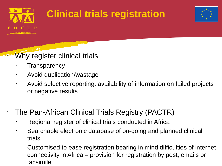

# **Clinical trials registration**



### Why register clinical trials

- **Transparency**
- Avoid duplication/wastage
- Avoid selective reporting: availability of information on failed projects or negative results

### • The Pan-African Clinical Trials Registry (PACTR)

- Regional register of clinical trials conducted in Africa
- Searchable electronic database of on-going and planned clinical trials
- Customised to ease registration bearing in mind difficulties of internet connectivity in Africa – provision for registration by post, emails or facsimile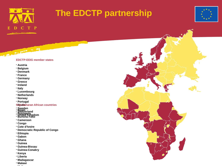

## **The EDCTP partnership**



#### **EDCTP-EEIG member states**

• **Austria**

**CONTRACTOR** 

- **Belgium**
- **Denmark**
- **France**
- **Germany**
- **Greece**
- **Ireland**
- **Italy**
- **Luxembourg**
- **Netherlands**
- **Norway**
- **Portugal**

#### • **Spain Sub-Saharan African countries**

- **Sweden**
- **Benin** • **Switzerland**
- **Botswana**
- **Burkina Faso** • **United Kingdom**
- **Cameroon**
- **Congo**
- **Cote d'Ivoire**
- **Democratic Republic of Congo**
- **Ethiopia**
- **Gabon**
- **Ghana**
- **Guinea**
- **Guinea-Bissau**
- **Guinea-Conakry**
- **Kenya**
- **Liberia**
- **Madagascar**
- **Malawi** • **Mali**